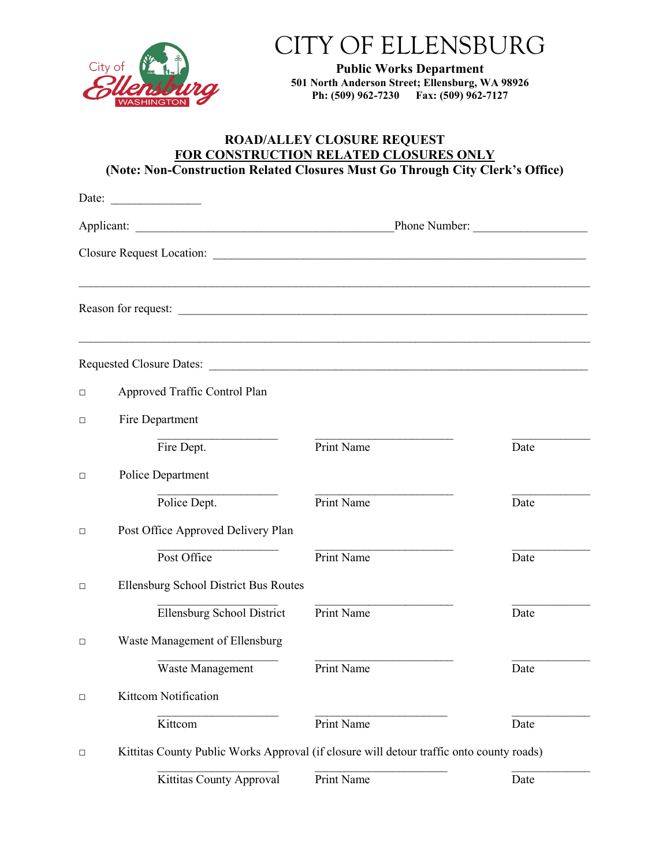

## CITY OF ELLENSBURG

**Public Works Department 501 North Anderson Street; Ellensburg, WA 98926 Ph: (509) 962-7230 Fax: (509) 962-7127**

## **ROAD/ALLEY CLOSURE REQUEST FOR CONSTRUCTION RELATED CLOSURES ONLY (Note: Non-Construction Related Closures Must Go Through City Clerk's Office)**

|        | Date:                                 |                                                                                          |      |  |  |
|--------|---------------------------------------|------------------------------------------------------------------------------------------|------|--|--|
|        |                                       | Phone Number:                                                                            |      |  |  |
|        |                                       |                                                                                          |      |  |  |
|        |                                       | ,我们也不能在这里的人,我们也不能在这里的人,我们也不能在这里的人,我们也不能在这里的人,我们也不能在这里的人,我们也不能在这里的人,我们也不能在这里的人,我们也        |      |  |  |
|        |                                       |                                                                                          |      |  |  |
| □      | Approved Traffic Control Plan         |                                                                                          |      |  |  |
| □      | Fire Department                       |                                                                                          |      |  |  |
|        | Fire Dept.                            | Print Name                                                                               | Date |  |  |
| $\Box$ | Police Department                     |                                                                                          |      |  |  |
|        | Police Dept.                          | Print Name                                                                               | Date |  |  |
| □      | Post Office Approved Delivery Plan    |                                                                                          |      |  |  |
|        | Post Office                           | Print Name                                                                               | Date |  |  |
| □      | Ellensburg School District Bus Routes |                                                                                          |      |  |  |
|        | <b>Ellensburg School District</b>     | Print Name                                                                               | Date |  |  |
| $\Box$ | Waste Management of Ellensburg        |                                                                                          |      |  |  |
|        | Waste Management                      | <b>Print Name</b>                                                                        | Date |  |  |
| $\Box$ | Kittcom Notification                  |                                                                                          |      |  |  |
|        | Kittcom                               | Print Name                                                                               | Date |  |  |
| □      |                                       | Kittitas County Public Works Approval (if closure will detour traffic onto county roads) |      |  |  |
|        | Kittitas County Approval              | Print Name                                                                               | Date |  |  |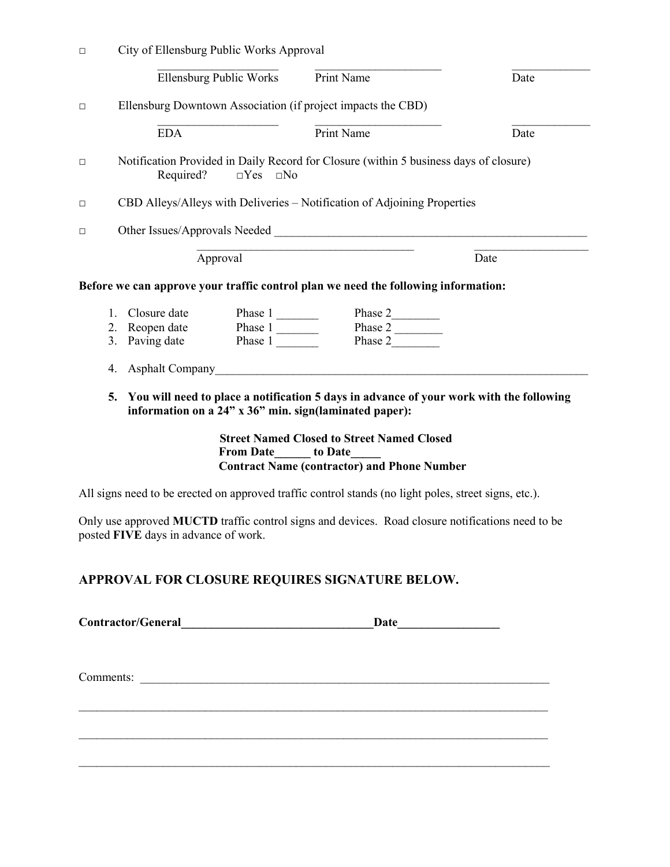| $\Box$ |                                                                                                                                  |            | City of Ellensburg Public Works Approval                                                                                                                                                                                            |                                                                                                                                                                                                                               |      |  |
|--------|----------------------------------------------------------------------------------------------------------------------------------|------------|-------------------------------------------------------------------------------------------------------------------------------------------------------------------------------------------------------------------------------------|-------------------------------------------------------------------------------------------------------------------------------------------------------------------------------------------------------------------------------|------|--|
|        |                                                                                                                                  |            | Ellensburg Public Works                                                                                                                                                                                                             | Print Name                                                                                                                                                                                                                    | Date |  |
| $\Box$ |                                                                                                                                  |            |                                                                                                                                                                                                                                     | Ellensburg Downtown Association (if project impacts the CBD)                                                                                                                                                                  |      |  |
|        |                                                                                                                                  | <b>EDA</b> |                                                                                                                                                                                                                                     | Print Name                                                                                                                                                                                                                    | Date |  |
| $\Box$ | Notification Provided in Daily Record for Closure (within 5 business days of closure)<br>Required?<br>$\Box$ Yes<br>$\square$ No |            |                                                                                                                                                                                                                                     |                                                                                                                                                                                                                               |      |  |
| $\Box$ | CBD Alleys/Alleys with Deliveries - Notification of Adjoining Properties                                                         |            |                                                                                                                                                                                                                                     |                                                                                                                                                                                                                               |      |  |
| $\Box$ |                                                                                                                                  |            |                                                                                                                                                                                                                                     | Other Issues/Approvals Needed Management and the contract of the state of the contract of the contract of the contract of the contract of the contract of the contract of the contract of the contract of the contract of the |      |  |
|        |                                                                                                                                  |            | Approval                                                                                                                                                                                                                            |                                                                                                                                                                                                                               | Date |  |
|        |                                                                                                                                  |            |                                                                                                                                                                                                                                     | Before we can approve your traffic control plan we need the following information:                                                                                                                                            |      |  |
|        |                                                                                                                                  |            |                                                                                                                                                                                                                                     |                                                                                                                                                                                                                               |      |  |
|        |                                                                                                                                  |            | 1. Closure date<br>2. Reopen date<br>3. Paving date<br>1. This e 1. The Phase 1. The Phase 1. The Phase 1. The Phase 1. The Maple 1. The Maple 1. The Maple 1. The Maple 1. The Maple 1. The Maple 1. The Maple 1. The Maple 1. The | Phase 2<br>Phase 2<br>Phase 2                                                                                                                                                                                                 |      |  |
|        | 4.                                                                                                                               |            |                                                                                                                                                                                                                                     | Asphalt Company                                                                                                                                                                                                               |      |  |
|        | 5.                                                                                                                               |            |                                                                                                                                                                                                                                     | You will need to place a notification 5 days in advance of your work with the following<br>information on a 24" x 36" min. sign(laminated paper):                                                                             |      |  |
|        |                                                                                                                                  |            | From Date to Date                                                                                                                                                                                                                   | <b>Street Named Closed to Street Named Closed</b><br><b>Contract Name (contractor) and Phone Number</b>                                                                                                                       |      |  |
|        |                                                                                                                                  |            |                                                                                                                                                                                                                                     | All signs need to be erected on approved traffic control stands (no light poles, street signs, etc.).                                                                                                                         |      |  |
|        |                                                                                                                                  |            |                                                                                                                                                                                                                                     | Only use approved MUCTD traffic control signs and devices. Road closure notifications need to be                                                                                                                              |      |  |

## **APPROVAL FOR CLOSURE REQUIRES SIGNATURE BELOW.**

| <b>Contractor/General</b> | Date |
|---------------------------|------|
|                           |      |

 $\_$  , and the set of the set of the set of the set of the set of the set of the set of the set of the set of the set of the set of the set of the set of the set of the set of the set of the set of the set of the set of th

\_\_\_\_\_\_\_\_\_\_\_\_\_\_\_\_\_\_\_\_\_\_\_\_\_\_\_\_\_\_\_\_\_\_\_\_\_\_\_\_\_\_\_\_\_\_\_\_\_\_\_\_\_\_\_\_\_\_\_\_\_\_\_\_\_\_\_\_\_\_\_\_\_\_\_\_\_\_

 $\_$  , and the contribution of the contribution of the contribution of the contribution of  $\mathcal{L}_\text{max}$ 

Comments: \_\_\_\_\_\_\_\_\_\_\_\_\_\_\_\_\_\_\_\_\_\_\_\_\_\_\_\_\_\_\_\_\_\_\_\_\_\_\_\_\_\_\_\_\_\_\_\_\_\_\_\_\_\_\_\_\_\_\_\_\_\_\_\_\_\_\_\_

posted **FIVE** days in advance of work.